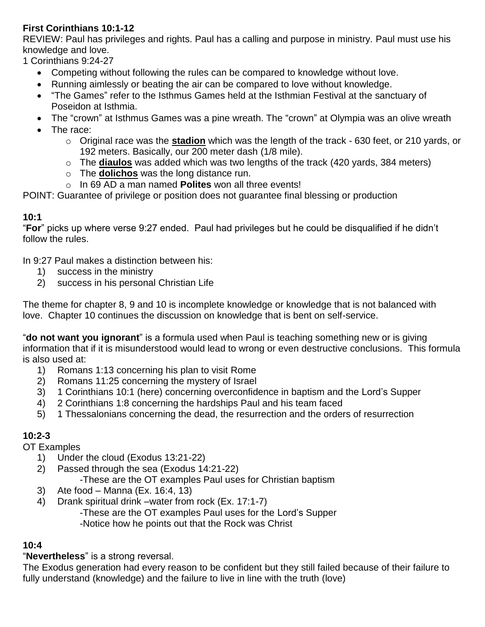## **First Corinthians 10:1-12**

REVIEW: Paul has privileges and rights. Paul has a calling and purpose in ministry. Paul must use his knowledge and love.

1 Corinthians 9:24-27

- Competing without following the rules can be compared to knowledge without love.
- Running aimlessly or beating the air can be compared to love without knowledge.
- "The Games" refer to the Isthmus Games held at the Isthmian Festival at the sanctuary of Poseidon at Isthmia.
- The "crown" at Isthmus Games was a pine wreath. The "crown" at Olympia was an olive wreath
- The race:
	- o Original race was the **stadion** which was the length of the track 630 feet, or 210 yards, or 192 meters. Basically, our 200 meter dash (1/8 mile).
	- o The **diaulos** was added which was two lengths of the track (420 yards, 384 meters)
	- o The **dolichos** was the long distance run.
	- o In 69 AD a man named **Polites** won all three events!

POINT: Guarantee of privilege or position does not guarantee final blessing or production

### **10:1**

"**For**" picks up where verse 9:27 ended. Paul had privileges but he could be disqualified if he didn't follow the rules.

In 9:27 Paul makes a distinction between his:

- 1) success in the ministry
- 2) success in his personal Christian Life

The theme for chapter 8, 9 and 10 is incomplete knowledge or knowledge that is not balanced with love. Chapter 10 continues the discussion on knowledge that is bent on self-service.

"**do not want you ignorant**" is a formula used when Paul is teaching something new or is giving information that if it is misunderstood would lead to wrong or even destructive conclusions. This formula is also used at:

- 1) Romans 1:13 concerning his plan to visit Rome
- 2) Romans 11:25 concerning the mystery of Israel
- 3) 1 Corinthians 10:1 (here) concerning overconfidence in baptism and the Lord's Supper
- 4) 2 Corinthians 1:8 concerning the hardships Paul and his team faced
- 5) 1 Thessalonians concerning the dead, the resurrection and the orders of resurrection

## **10:2-3**

OT Examples

- 1) Under the cloud (Exodus 13:21-22)
- 2) Passed through the sea (Exodus 14:21-22)
	- -These are the OT examples Paul uses for Christian baptism
- 3) Ate food Manna (Ex. 16:4, 13)
- 4) Drank spiritual drink –water from rock (Ex. 17:1-7)
	- -These are the OT examples Paul uses for the Lord's Supper

-Notice how he points out that the Rock was Christ

# **10:4**

## "**Nevertheless**" is a strong reversal.

The Exodus generation had every reason to be confident but they still failed because of their failure to fully understand (knowledge) and the failure to live in line with the truth (love)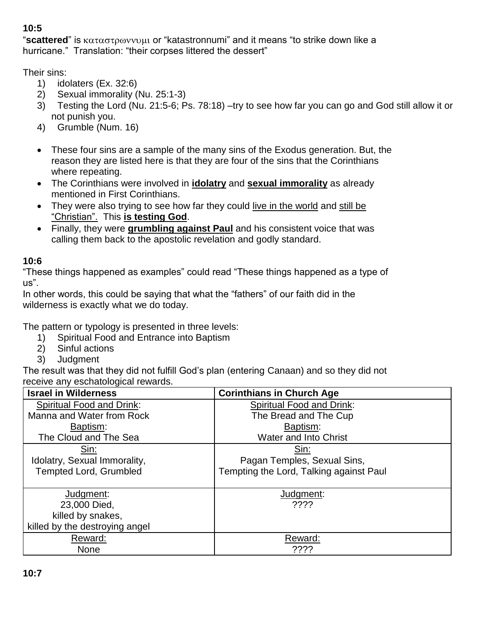# **10:5**

"scattered" is καταστρωννυμι or "katastronnumi" and it means "to strike down like a hurricane." Translation: "their corpses littered the dessert"

Their sins:

- 1) idolaters (Ex. 32:6)
- 2) Sexual immorality (Nu. 25:1-3)
- 3) Testing the Lord (Nu. 21:5-6; Ps. 78:18) –try to see how far you can go and God still allow it or not punish you.
- 4) Grumble (Num. 16)
- These four sins are a sample of the many sins of the Exodus generation. But, the reason they are listed here is that they are four of the sins that the Corinthians where repeating.
- The Corinthians were involved in **idolatry** and **sexual immorality** as already mentioned in First Corinthians.
- They were also trying to see how far they could live in the world and still be "Christian". This **is testing God**.
- Finally, they were **grumbling against Paul** and his consistent voice that was calling them back to the apostolic revelation and godly standard.

## **10:6**

"These things happened as examples" could read "These things happened as a type of us".

In other words, this could be saying that what the "fathers" of our faith did in the wilderness is exactly what we do today.

The pattern or typology is presented in three levels:

- 1) Spiritual Food and Entrance into Baptism
- 2) Sinful actions
- 3) Judgment

The result was that they did not fulfill God's plan (entering Canaan) and so they did not receive any eschatological rewards.

| <b>Israel in Wilderness</b>      | <b>Corinthians in Church Age</b>        |  |  |  |
|----------------------------------|-----------------------------------------|--|--|--|
| <b>Spiritual Food and Drink:</b> | <b>Spiritual Food and Drink:</b>        |  |  |  |
| Manna and Water from Rock        | The Bread and The Cup                   |  |  |  |
| Baptism:                         | Baptism:                                |  |  |  |
| The Cloud and The Sea            | <b>Water and Into Christ</b>            |  |  |  |
| Sin:                             | Sin:                                    |  |  |  |
| Idolatry, Sexual Immorality,     | Pagan Temples, Sexual Sins,             |  |  |  |
| <b>Tempted Lord, Grumbled</b>    | Tempting the Lord, Talking against Paul |  |  |  |
|                                  |                                         |  |  |  |
| Judgment:                        | Judgment:                               |  |  |  |
| 23,000 Died.                     | ????                                    |  |  |  |
| killed by snakes,                |                                         |  |  |  |
| killed by the destroying angel   |                                         |  |  |  |
| Reward:                          | Reward:                                 |  |  |  |
| <b>None</b>                      | ????                                    |  |  |  |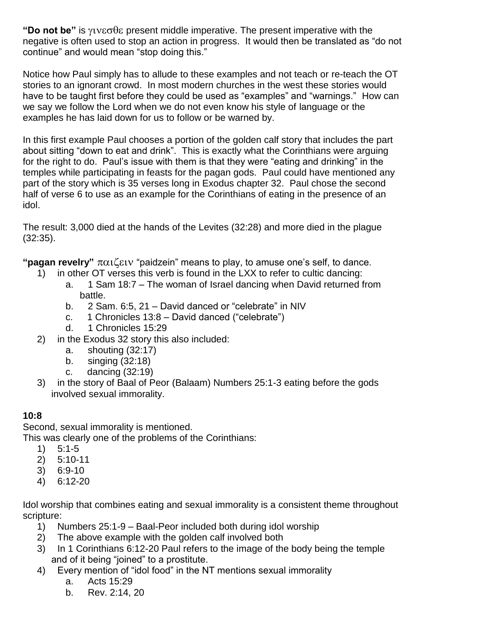**"Do not be"** is  $\gamma \nu \varepsilon \sigma \theta \varepsilon$  present middle imperative. The present imperative with the negative is often used to stop an action in progress. It would then be translated as "do not continue" and would mean "stop doing this."

Notice how Paul simply has to allude to these examples and not teach or re-teach the OT stories to an ignorant crowd. In most modern churches in the west these stories would have to be taught first before they could be used as "examples" and "warnings." How can we say we follow the Lord when we do not even know his style of language or the examples he has laid down for us to follow or be warned by.

In this first example Paul chooses a portion of the golden calf story that includes the part about sitting "down to eat and drink". This is exactly what the Corinthians were arguing for the right to do. Paul's issue with them is that they were "eating and drinking" in the temples while participating in feasts for the pagan gods. Paul could have mentioned any part of the story which is 35 verses long in Exodus chapter 32. Paul chose the second half of verse 6 to use as an example for the Corinthians of eating in the presence of an idol.

The result: 3,000 died at the hands of the Levites (32:28) and more died in the plague (32:35).

"**pagan revelry**"  $\pi \alpha_1 \zeta \epsilon_1 v$  "paidzein" means to play, to amuse one's self, to dance.

- 1) in other OT verses this verb is found in the LXX to refer to cultic dancing:
	- a. 1 Sam 18:7 The woman of Israel dancing when David returned from battle.
	- b. 2 Sam. 6:5, 21 David danced or "celebrate" in NIV
	- c. 1 Chronicles 13:8 David danced ("celebrate")
	- d. 1 Chronicles 15:29
- 2) in the Exodus 32 story this also included:
	- a. shouting (32:17)
	- b. singing (32:18)
	- c. dancing (32:19)
- 3) in the story of Baal of Peor (Balaam) Numbers 25:1-3 eating before the gods involved sexual immorality.

### **10:8**

Second, sexual immorality is mentioned.

This was clearly one of the problems of the Corinthians:

- 1) 5:1-5
- 2) 5:10-11
- 3) 6:9-10
- 4) 6:12-20

Idol worship that combines eating and sexual immorality is a consistent theme throughout scripture:

- 1) Numbers 25:1-9 Baal-Peor included both during idol worship
- 2) The above example with the golden calf involved both
- 3) In 1 Corinthians 6:12-20 Paul refers to the image of the body being the temple and of it being "joined" to a prostitute.
- 4) Every mention of "idol food" in the NT mentions sexual immorality
	- a. Acts 15:29
	- b. Rev. 2:14, 20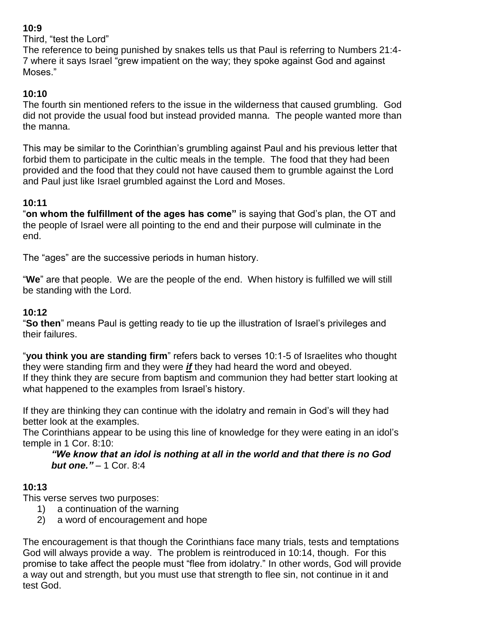## **10:9**

Third, "test the Lord"

The reference to being punished by snakes tells us that Paul is referring to Numbers 21:4- 7 where it says Israel "grew impatient on the way; they spoke against God and against Moses."

# **10:10**

The fourth sin mentioned refers to the issue in the wilderness that caused grumbling. God did not provide the usual food but instead provided manna. The people wanted more than the manna.

This may be similar to the Corinthian's grumbling against Paul and his previous letter that forbid them to participate in the cultic meals in the temple. The food that they had been provided and the food that they could not have caused them to grumble against the Lord and Paul just like Israel grumbled against the Lord and Moses.

# **10:11**

"**on whom the fulfillment of the ages has come"** is saying that God's plan, the OT and the people of Israel were all pointing to the end and their purpose will culminate in the end.

The "ages" are the successive periods in human history.

"**We**" are that people. We are the people of the end. When history is fulfilled we will still be standing with the Lord.

## **10:12**

"**So then**" means Paul is getting ready to tie up the illustration of Israel's privileges and their failures.

"**you think you are standing firm**" refers back to verses 10:1-5 of Israelites who thought they were standing firm and they were *if* they had heard the word and obeyed. If they think they are secure from baptism and communion they had better start looking at what happened to the examples from Israel's history.

If they are thinking they can continue with the idolatry and remain in God's will they had better look at the examples.

The Corinthians appear to be using this line of knowledge for they were eating in an idol's temple in 1 Cor. 8:10:

*"We know that an idol is nothing at all in the world and that there is no God but one.*  $" - 1$  Cor. 8:4

## **10:13**

This verse serves two purposes:

- 1) a continuation of the warning
- 2) a word of encouragement and hope

The encouragement is that though the Corinthians face many trials, tests and temptations God will always provide a way. The problem is reintroduced in 10:14, though. For this promise to take affect the people must "flee from idolatry." In other words, God will provide a way out and strength, but you must use that strength to flee sin, not continue in it and test God.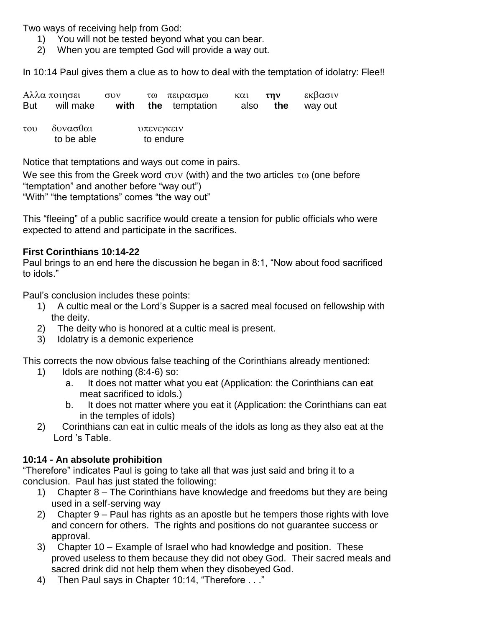Two ways of receiving help from God:

- 1) You will not be tested beyond what you can bear.
- 2) When you are tempted God will provide a way out.

In 10:14 Paul gives them a clue as to how to deal with the temptation of idolatry: Flee!!

|     | Αλλα ποιησει | $\sigma$ <sup>D</sup> | τω πειρασμω                          | και <b>την</b> | εκβασιν                 |
|-----|--------------|-----------------------|--------------------------------------|----------------|-------------------------|
| But |              |                       | will make <b>with the</b> temptation |                | also <b>the</b> way out |

του δυνασθαι υπενεγκειν to be able to endure

Notice that temptations and ways out come in pairs.

We see this from the Greek word  $\sigma$ uv (with) and the two articles  $\tau$  (one before "temptation" and another before "way out")

"With" "the temptations" comes "the way out"

This "fleeing" of a public sacrifice would create a tension for public officials who were expected to attend and participate in the sacrifices.

### **First Corinthians 10:14-22**

Paul brings to an end here the discussion he began in 8:1, "Now about food sacrificed to idols."

Paul's conclusion includes these points:

- 1) A cultic meal or the Lord's Supper is a sacred meal focused on fellowship with the deity.
- 2) The deity who is honored at a cultic meal is present.
- 3) Idolatry is a demonic experience

This corrects the now obvious false teaching of the Corinthians already mentioned:

- 1) Idols are nothing (8:4-6) so:
	- a. It does not matter what you eat (Application: the Corinthians can eat meat sacrificed to idols.)
	- b. It does not matter where you eat it (Application: the Corinthians can eat in the temples of idols)
- 2) Corinthians can eat in cultic meals of the idols as long as they also eat at the Lord 's Table.

## **10:14 - An absolute prohibition**

"Therefore" indicates Paul is going to take all that was just said and bring it to a conclusion. Paul has just stated the following:

- 1) Chapter 8 The Corinthians have knowledge and freedoms but they are being used in a self-serving way
- 2) Chapter 9 Paul has rights as an apostle but he tempers those rights with love and concern for others. The rights and positions do not guarantee success or approval.
- 3) Chapter 10 Example of Israel who had knowledge and position. These proved useless to them because they did not obey God. Their sacred meals and sacred drink did not help them when they disobeyed God.
- 4) Then Paul says in Chapter 10:14, "Therefore . . ."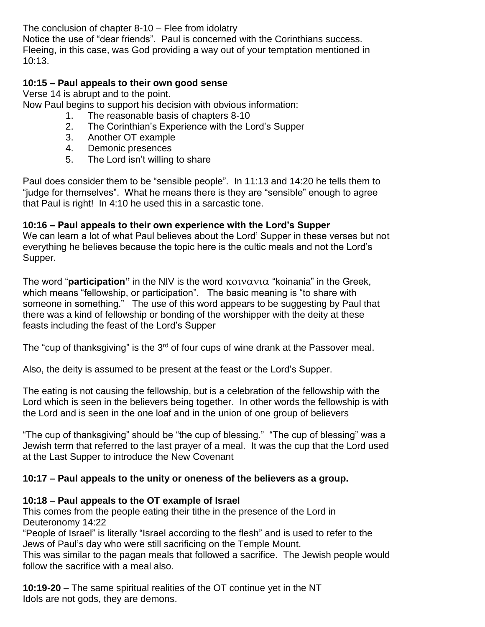The conclusion of chapter 8-10 – Flee from idolatry

Notice the use of "dear friends". Paul is concerned with the Corinthians success. Fleeing, in this case, was God providing a way out of your temptation mentioned in 10:13.

#### **10:15 – Paul appeals to their own good sense**

Verse 14 is abrupt and to the point.

Now Paul begins to support his decision with obvious information:

- 1. The reasonable basis of chapters 8-10
- 2. The Corinthian's Experience with the Lord's Supper
- 3. Another OT example
- 4. Demonic presences
- 5. The Lord isn't willing to share

Paul does consider them to be "sensible people". In 11:13 and 14:20 he tells them to "judge for themselves". What he means there is they are "sensible" enough to agree that Paul is right! In 4:10 he used this in a sarcastic tone.

#### **10:16 – Paul appeals to their own experience with the Lord's Supper**

We can learn a lot of what Paul believes about the Lord' Supper in these verses but not everything he believes because the topic here is the cultic meals and not the Lord's Supper.

The word "**participation**" in the NIV is the word  $\kappa$ <sub>0</sub> volvationally in the Greek, which means "fellowship, or participation". The basic meaning is "to share with someone in something." The use of this word appears to be suggesting by Paul that there was a kind of fellowship or bonding of the worshipper with the deity at these feasts including the feast of the Lord's Supper

The "cup of thanksgiving" is the  $3<sup>rd</sup>$  of four cups of wine drank at the Passover meal.

Also, the deity is assumed to be present at the feast or the Lord's Supper.

The eating is not causing the fellowship, but is a celebration of the fellowship with the Lord which is seen in the believers being together. In other words the fellowship is with the Lord and is seen in the one loaf and in the union of one group of believers

"The cup of thanksgiving" should be "the cup of blessing." "The cup of blessing" was a Jewish term that referred to the last prayer of a meal. It was the cup that the Lord used at the Last Supper to introduce the New Covenant

### **10:17 – Paul appeals to the unity or oneness of the believers as a group.**

### **10:18 – Paul appeals to the OT example of Israel**

This comes from the people eating their tithe in the presence of the Lord in Deuteronomy 14:22

"People of Israel" is literally "Israel according to the flesh" and is used to refer to the Jews of Paul's day who were still sacrificing on the Temple Mount.

This was similar to the pagan meals that followed a sacrifice. The Jewish people would follow the sacrifice with a meal also.

**10:19-20** – The same spiritual realities of the OT continue yet in the NT Idols are not gods, they are demons.